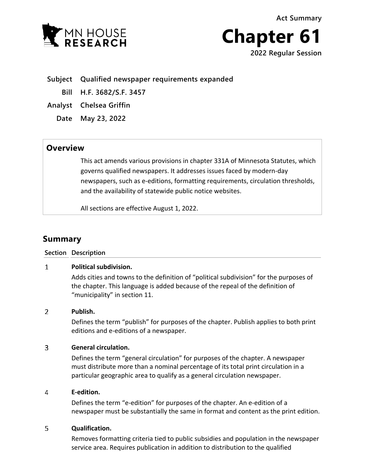**Act Summary**





**Subject Qualified newspaper requirements expanded**

**Bill H.F. 3682/S.F. 3457**

**Analyst Chelsea Griffin**

**Date May 23, 2022**

## **Overview**

This act amends various provisions in chapter 331A of Minnesota Statutes, which governs qualified newspapers. It addresses issues faced by modern-day newspapers, such as e-editions, formatting requirements, circulation thresholds, and the availability of statewide public notice websites.

All sections are effective August 1, 2022.

# **Summary**

### **Section Description**

### $\mathbf{1}$ **Political subdivision.**

Adds cities and towns to the definition of "political subdivision" for the purposes of the chapter. This language is added because of the repeal of the definition of "municipality" in section 11.

### $\overline{2}$ **Publish.**

Defines the term "publish" for purposes of the chapter. Publish applies to both print editions and e-editions of a newspaper.

### $\overline{3}$ **General circulation.**

Defines the term "general circulation" for purposes of the chapter. A newspaper must distribute more than a nominal percentage of its total print circulation in a particular geographic area to qualify as a general circulation newspaper.

### 4 **E-edition.**

Defines the term "e-edition" for purposes of the chapter. An e-edition of a newspaper must be substantially the same in format and content as the print edition.

### 5 **Qualification.**

Removes formatting criteria tied to public subsidies and population in the newspaper service area. Requires publication in addition to distribution to the qualified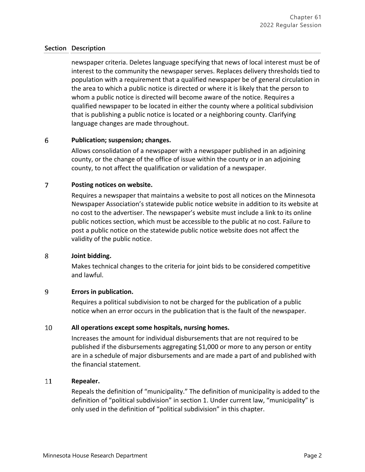### **Section Description**

newspaper criteria. Deletes language specifying that news of local interest must be of interest to the community the newspaper serves. Replaces delivery thresholds tied to population with a requirement that a qualified newspaper be of general circulation in the area to which a public notice is directed or where it is likely that the person to whom a public notice is directed will become aware of the notice. Requires a qualified newspaper to be located in either the county where a political subdivision that is publishing a public notice is located or a neighboring county. Clarifying language changes are made throughout.

### 6 **Publication; suspension; changes.**

Allows consolidation of a newspaper with a newspaper published in an adjoining county, or the change of the office of issue within the county or in an adjoining county, to not affect the qualification or validation of a newspaper.

### $\overline{7}$ **Posting notices on website.**

Requires a newspaper that maintains a website to post all notices on the Minnesota Newspaper Association's statewide public notice website in addition to its website at no cost to the advertiser. The newspaper's website must include a link to its online public notices section, which must be accessible to the public at no cost. Failure to post a public notice on the statewide public notice website does not affect the validity of the public notice.

### 8 **Joint bidding.**

Makes technical changes to the criteria for joint bids to be considered competitive and lawful.

### 9 **Errors in publication.**

Requires a political subdivision to not be charged for the publication of a public notice when an error occurs in the publication that is the fault of the newspaper.

### 10 **All operations except some hospitals, nursing homes.**

Increases the amount for individual disbursements that are not required to be published if the disbursements aggregating \$1,000 or more to any person or entity are in a schedule of major disbursements and are made a part of and published with the financial statement.

### 11 **Repealer.**

Repeals the definition of "municipality." The definition of municipality is added to the definition of "political subdivision" in section 1. Under current law, "municipality" is only used in the definition of "political subdivision" in this chapter.